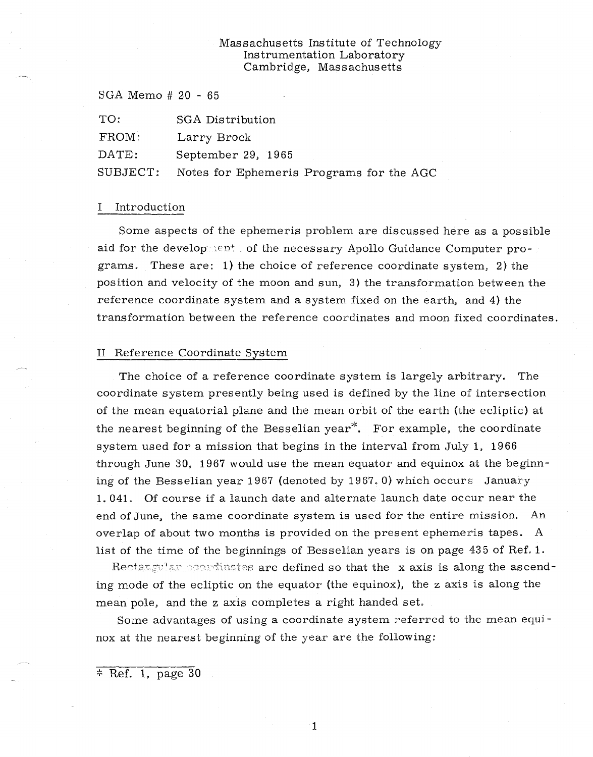## Massachusetts Institute of Technology Instrumentation Laboratory Cambridge, Massachusetts

SGA Memo # 20 - 65

| TO: | SGA Distribution |
|-----|------------------|
|     |                  |

FROM: Larry Brock

DATE: September 29, 1965

SUBJECT: Notes for Ephemeris Programs for the AGC

#### I Introduction

Some aspects of the ephemeris problem are discussed here as a possible aid for the developeration for the necessary Apollo Guidance Computer programs. These are: 1) the choice of reference coordinate system, 2) the position and velocity of the moon and sun, 3) the transformation between the reference coordinate system and a system fixed on the earth, and 4) the transformation between the reference coordinates and moon fixed coordinates.

# II Reference Coordinate System

The choice of a reference coordinate system is largely arbitrary. The coordinate system presently being used is defined by the line of intersection of the mean equatorial plane and the mean orbit of the earth (the ecliptic) at the nearest beginning of the Besselian year<sup>\*</sup>. For example, the coordinate system used for a mission that begins in the interval from July 1, 1966 through June 30, 1967 would use the mean equator and equinox at the beginning of the Besselian year 1967 (denoted by 1967. 0) which occurs January 1. 041. Of course if a launch date and alternate launch date occur near the end of June, the same coordinate system is used for the entire mission. An overlap of about two months is provided on the present ephemeris tapes. A list of the time of the beginnings of Besselian years is on page 435 of Ref. 1.

Rectangular operdinates are defined so that the x axis is along the ascending mode of the ecliptic on the equator (the equinox), the z axis is along the mean pole, and the z axis completes a right handed set.

Some advantages of using a coordinate system referred to the mean equinox at the nearest beginning of the year are the following:

\* Ref. 1, page 30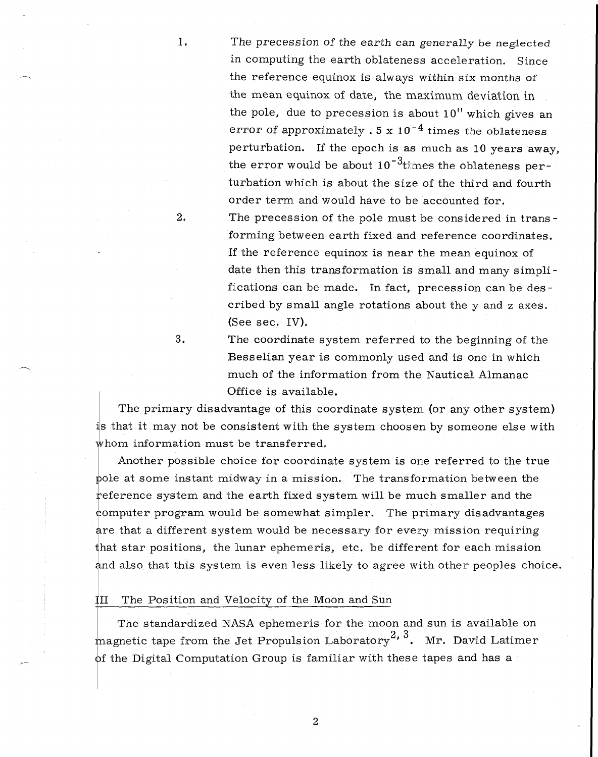1. The precession of the earth can generally be *neglected*  in computing the earth oblateness acceleration. Since the reference equinox is always within six months of the mean equinox of date, the maximum deviation in the pole, due to precession is about  $10$ <sup>"</sup> which gives an error of approximately  $.5 \times 10^{-4}$  times the oblateness perturbation. If the epoch is as much as 10 years away, the error would be about  $10^{-3}$  times the oblateness perturbation which is about the size of the third and fourth order term and would have to be accounted for. 2. The precession of the pole must be considered in transforming between earth fixed and reference coordinates. If the reference equinox is near the mean equinox of date then this transformation is small and many simplifications can be made. In fact, precession can be described by small angle rotations about the y and z axes. (See sec. IV).

3. The coordinate system referred to the beginning of the Besselian year is commonly used and is one in which much of the information from the Nautical Almanac Office is available.

The primary disadvantage of this coordinate system (or any other system) is that it may not be consistent with the system choosen by someone else with whom information must be transferred.

pole at some instant midway in a mission. The transformation between the reference system and the earth fixed system will be much smaller and the eference system and the earth fixed system will be much smaller and the Another possible choice for coordinate system is one referred to the true computer program would be somewhat simpler. The primary disadvantages are that a different system would be necessary for every mission requiring that star positions, the lunar ephemeris, etc. be different for each mission and also that this system is even less likely to agree with other peoples choice.

III The Position and Velocity of the Moon and Sun

The standardized NASA ephemeris for the moon and sun is available on magnetic tape from the Jet Propulsion Laboratory<sup>2, 3</sup>. Mr. David Latimer of the Digital Computation Group is familiar with these tapes and has a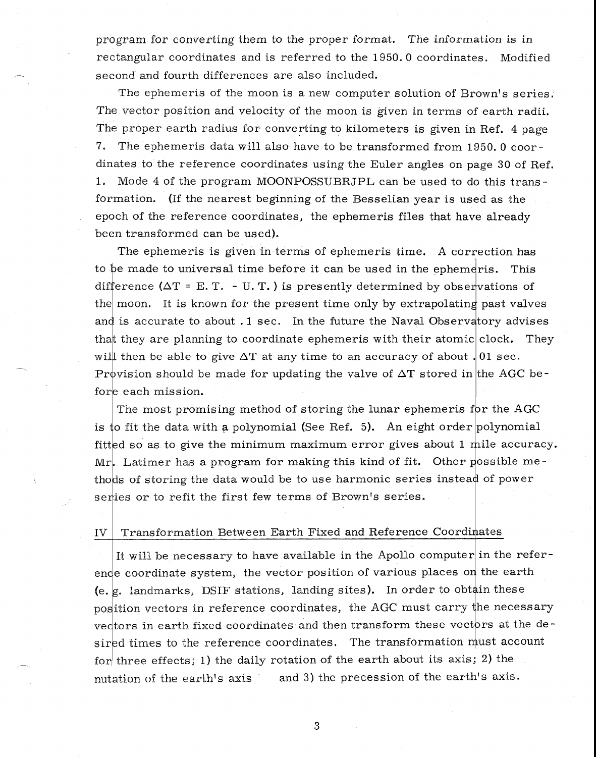program for converting them to the proper format. The information is in rectangular coordinates and is referred to the 1950. 0 coordinates. Modified second' and fourth differences are also included.

The ephemeris of the moon is a new computer solution of Brown's series. The vector position and velocity of the moon is given in terms of earth radii. The proper earth radius for converting to kilometers is given in Ref. 4 page 7. The ephemeris data will also have to be transformed from 1950. 0 coordinates to the reference coordinates using the Euler angles on page 30 of Ref. 1. Mode 4 of the program MOONPOSSUBRJPL can be used to do this transformation. (If the nearest beginning of the Besselian year is used as the epoch of the reference coordinates, the ephemeris files that have already been transformed can be used).

The ephemeris is given in terms of ephemeris time. A correction has to be made to universal time before it can be used in the ephemeris. This difference ( $\Delta T = E$ . T. - U.T.) is presently determined by observations of the moon. It is known for the present time only by extrapolating past valves and is accurate to about  $.1$  sec. In the future the Naval Observatory advises that they are planning to coordinate ephemeris with their atomic clock. They will then be able to give  $\Delta T$  at any time to an accuracy of about . 01 sec. Provision should be made for updating the valve of  $\Delta T$  stored in the AGC before each mission.

The most promising method of storing the lunar ephemeris for the AGC is to fit the data with a polynomial (See Ref. 5). An eight order polynomial fitted so as to give the minimum maximum error gives about  $1$  mile accuracy. Mr. Latimer has a program for making this kind of fit. Other possible methods of storing the data would be to use harmonic series instead of power series or to refit the first few terms of Brown's series.

### $IV$  Transformation Between Earth Fixed and Reference Coordinates

It will be necessary to have available in the Apollo computer in the reference coordinate system, the vector position of various places on the earth (e. g. landmarks, DSIF stations, landing sites). In order to obtain these position vectors in reference coordinates, the AGC must carry the necessary  ${\rm vec}$ tors in earth fixed coordinates and then transform these vect ${\rm obs}$  at the desired times to the reference coordinates. The transformation must account for three effects; 1) the daily rotation of the earth about its axis; 2) the nutation of the earth's axis and 3) the precession of the earth's axis.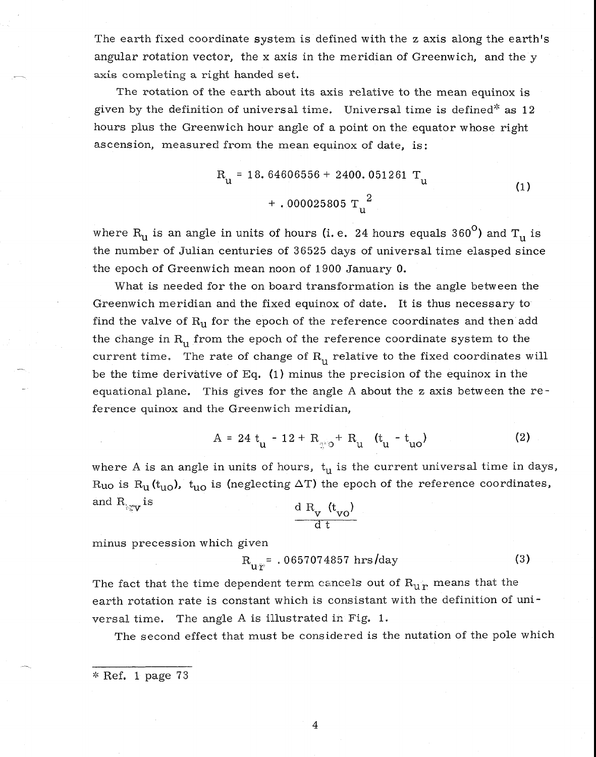The earth fixed coordinate system is defined with the z axis along the earth's angular rotation vector, the x axis in the meridian of Greenwich, and the  $y$ axis completing a right handed set.

The rotation of the earth about its axis relative to the mean equinox is given by the definition of universal time. Universal time is defined\* as  $12$ hours plus the Greenwich hour angle of a point on the equator whose right ascension, measured from the mean equinox of date, is:

$$
R_{u} = 18.64606556 + 2400.051261 T_{u}
$$
  
+ .000025805 T<sub>u</sub><sup>2</sup> (1)

where  $\rm R_{u}$  is an angle in units of hours (i.e. 24 hours equals 360 $^{\rm o}$ ) and  $\rm T_{u}$  is the number of Julian centuries of 36525 days of universal time elasped since the epoch of Greenwich mean noon of 1900 January 0.

What is needed for the on board transformation is the angle between the Greenwich meridian and the fixed equinox of date. It is thus necessary to find the valve of  $R_u$  for the epoch of the reference coordinates and then add the change in  $R_{11}$  from the epoch of the reference coordinate system to the current time. The rate of change of  $R_{\rm u}$  relative to the fixed coordinates will be the time derivative of Eq. (1) minus the precision of the equinox in the equational plane. This gives for the angle A about the z axis between the reference quinox and the Greenwich meridian,

$$
A = 24 t_{u} - 12 + R_{u0} + R_{u} (t_{u} - t_{u0})
$$
 (2)

where A is an angle in units of hours,  $t<sub>u</sub>$  is the current universal time in days, Ruo is R<sub>u</sub>(t<sub>uo</sub>), t<sub>uo</sub> is (neglecting  $\Delta T$ ) the epoch of the reference coordinates, where A is an angle in units of hours,  $t_u$  is t<br>
Ruo is R<sub>u</sub>( $t_{u0}$ ),  $t_{u0}$  is (neglecting  $\Delta T$ ) the ep<br>
and R<sub><sub>k</sub><sub>V</sub></sub> is  $dR_v$  ( $t_{v0}$ )  $d t$ 

$$
\frac{\mathrm{d} \mathrm{R}_{\mathrm{v}} \mathrm{t}_{\mathrm{vo}}}{\mathrm{d} \mathrm{t}}
$$

minus precession which given

 $R_{\text{u}^{\text{T}}}$  . 0657074857 hrs/day (3)

The fact that the time dependent term cancels out of  $R_{UT}$  means that the earth rotation rate is constant which is consistant with the definition of universal time. The angle A is illustrated in Fig. 1.

The second effect that must be considered is the nutation of the pole which

<sup>\*</sup> Ref. 1 page 73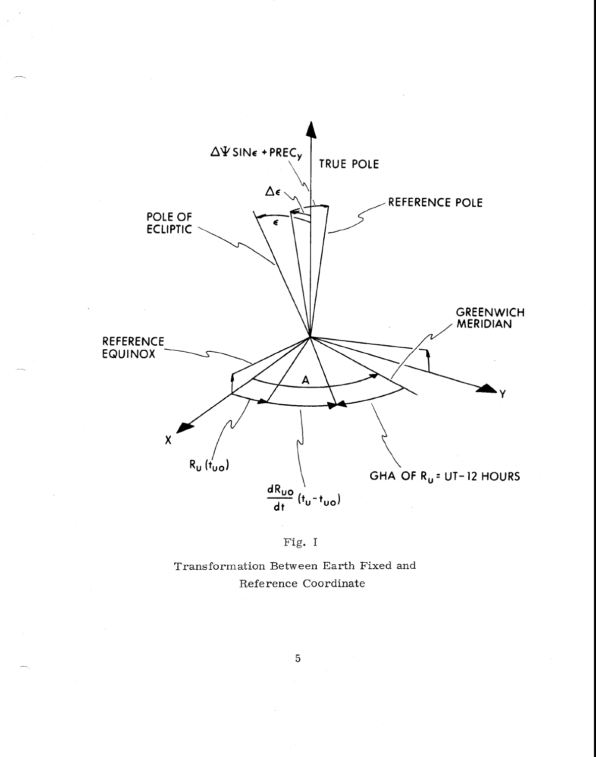



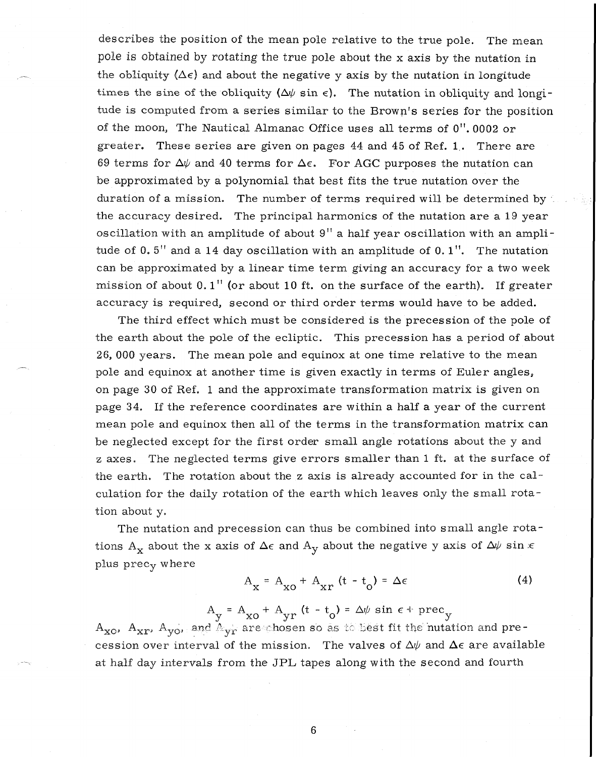describes the position of the mean pole relative to the true pole. The mean pole is obtained by rotating the true pole about the x axis by the nutation in the obliquity  $(\Delta \epsilon)$  and about the negative y axis by the nutation in longitude times the sine of the obliquity  $(\Delta \psi \sin \epsilon)$ . The nutation in obliquity and longitude is computed from a series similar to the Brown's series for the position of the moon, The Nautical Almanac Office uses all terms of 0". 0002 or greater. These series are given on pages 44 and 45 of Ref. 1.. There are 69 terms for  $\Delta\psi$  and 40 terms for  $\Delta\epsilon$ . For AGC purposes the nutation can be approximated by a polynomial that best fits the true nutation over the duration of a mission. The number of terms required will be determined by the accuracy desired. The principal harmonics of the nutation are a 19 year oscillation with an amplitude of about 9" a half year oscillation with an amplitude of 0. 5" and a 14 day oscillation with an amplitude of 0.1". The nutation can be approximated by a linear time term giving an accuracy for a two week mission of about 0.1" (or about 10 ft. on the surface of the earth). If greater accuracy is required, second or third order terms would have to be added.

The third effect which must be considered is the precession of the pole of the earth about the pole of the ecliptic. This precession has a period of about 26, 000 years. The mean pole and equinox at one time relative to the mean pole and equinox at another time is given exactly in terms of Euler angles, on page 30 of Ref. 1 and the approximate transformation matrix is given on page 34. If the reference coordinates are within a half a year of the current mean pole and equinox then all of the terms in the transformation matrix can be neglected except for the first order small angle rotations about the y and z axes. The neglected terms give errors smaller than 1 ft. at the surface of the earth. The rotation about the z axis is already accounted for in the calculation for the daily rotation of the earth which leaves only the small rotation about y.

The nutation and precession can thus be combined into small angle rotations A<sub>x</sub> about the x axis of  $\Delta \epsilon$  and A<sub>y</sub> about the negative y axis of  $\Delta \psi$  sin  $\epsilon$ plus prec<sub>y</sub> where

$$
A_x = A_{xo} + A_{xr} (t - t_0) = \Delta \epsilon
$$
 (4)

 $A_y = A_{xo} + A_{yr} (t - t_o) = \Delta \psi \sin \epsilon + \text{prec}_y$ 

 $A_{\text{xo}}$ ,  $A_{\text{xr}}$ ,  $A_{\text{yo}}$ , and  $A_{\text{yr}}$  are thosen so as to best fit the nutation and precession over interval of the mission. The valves of  $\Delta\psi$  and  $\Delta\epsilon$  are available at half day intervals from the JPL tapes along with the second and fourth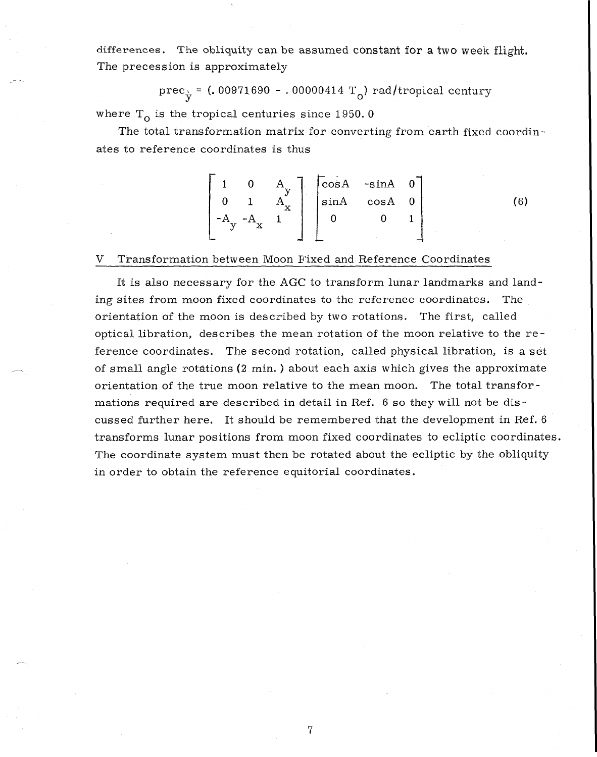differences. The obliquity can be assumed constant for a two week flight. The precession is approximately

 $\text{prec}^{\vee}_{\mathbf{y}}$  = (.00971690 - .00000414  $\text{T}_{\mathbf{0}}$ ) rad/tropical century

where  $T_0$  is the tropical centuries since 1950. 0

The total transformation matrix for converting from earth fixed coordinates to reference coordinates is thus

$$
\begin{bmatrix} 1 & 0 & A_y \ 0 & 1 & A_x \ -A_y & -A_x & 1 \end{bmatrix} \begin{bmatrix} \cos A & -\sin A & 0 \\ \sin A & \cos A & 0 \\ 0 & 0 & 1 \end{bmatrix}
$$
 (6)

#### V Transformation between Moon Fixed and Reference Coordinates

It is also necessary for the AGC to transform lunar landmarks and land-. ing sites from moon fixed coordinates to the reference coordinates. The orientation of the moon is described by two rotations. The first, called optical libration, describes the mean rotation of the moon relative to the reference coordinates. The second rotation, called physical libration, is a set of small angle rotations (2 min. ) about each axis which gives the approximate orientation of the true moon relative to the mean moon. The total transformations required are described in detail in Ref. 6 so they will not be discussed further here. It should be remembered that the development in Ref. 6 transforms lunar positions from moon fixed coordinates to ecliptic coordinates. The coordinate system must then be rotated about the ecliptic by the obliquity in order to obtain the reference equitorial coordinates.